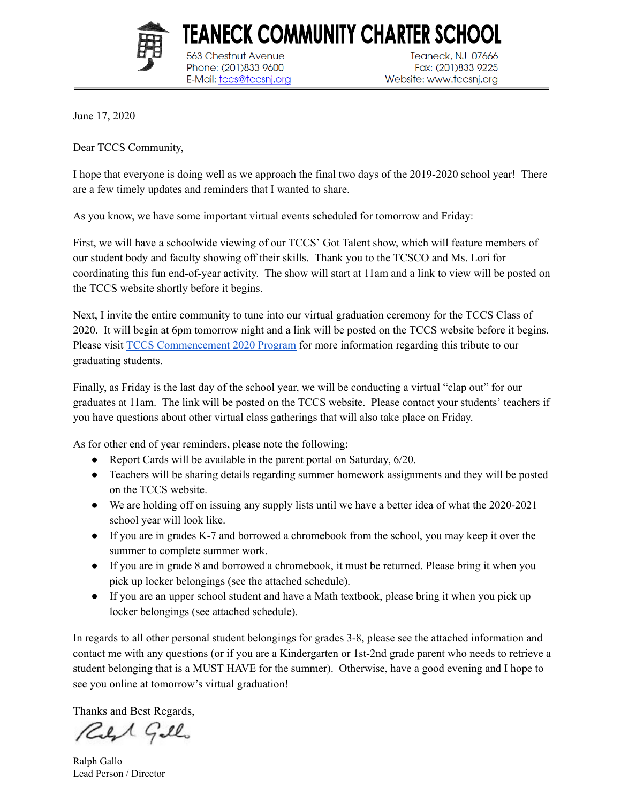

Teaneck, NJ 07666 Fax: (201)833-9225 Website: www.tccsnj.org

June 17, 2020

Dear TCCS Community,

I hope that everyone is doing well as we approach the final two days of the 2019-2020 school year! There are a few timely updates and reminders that I wanted to share.

TEANECK COMMUNITY CHARTER SCHOOL

As you know, we have some important virtual events scheduled for tomorrow and Friday:

563 Chestnut Avenue

Phone: (201)833-9600

E-Mail: tccs@tccsnj.org

First, we will have a schoolwide viewing of our TCCS' Got Talent show, which will feature members of our student body and faculty showing off their skills. Thank you to the TCSCO and Ms. Lori for coordinating this fun end-of-year activity. The show will start at 11am and a link to view will be posted on the TCCS website shortly before it begins.

Next, I invite the entire community to tune into our virtual graduation ceremony for the TCCS Class of 2020. It will begin at 6pm tomorrow night and a link will be posted on the TCCS website before it begins. Please visit TCCS [Commencement](https://www.flipsnack.com/FCFCFAFF8D6/tccs-commencement-2020.html) 2020 Program for more information regarding this tribute to our graduating students.

Finally, as Friday is the last day of the school year, we will be conducting a virtual "clap out" for our graduates at 11am. The link will be posted on the TCCS website. Please contact your students' teachers if you have questions about other virtual class gatherings that will also take place on Friday.

As for other end of year reminders, please note the following:

- Report Cards will be available in the parent portal on Saturday,  $6/20$ .
- Teachers will be sharing details regarding summer homework assignments and they will be posted on the TCCS website.
- We are holding off on issuing any supply lists until we have a better idea of what the 2020-2021 school year will look like.
- If you are in grades K-7 and borrowed a chromebook from the school, you may keep it over the summer to complete summer work.
- If you are in grade 8 and borrowed a chromebook, it must be returned. Please bring it when you pick up locker belongings (see the attached schedule).
- If you are an upper school student and have a Math textbook, please bring it when you pick up locker belongings (see attached schedule).

In regards to all other personal student belongings for grades 3-8, please see the attached information and contact me with any questions (or if you are a Kindergarten or 1st-2nd grade parent who needs to retrieve a student belonging that is a MUST HAVE for the summer). Otherwise, have a good evening and I hope to see you online at tomorrow's virtual graduation!

Thanks and Best Regards,

Reft Gillo

Ralph Gallo Lead Person / Director